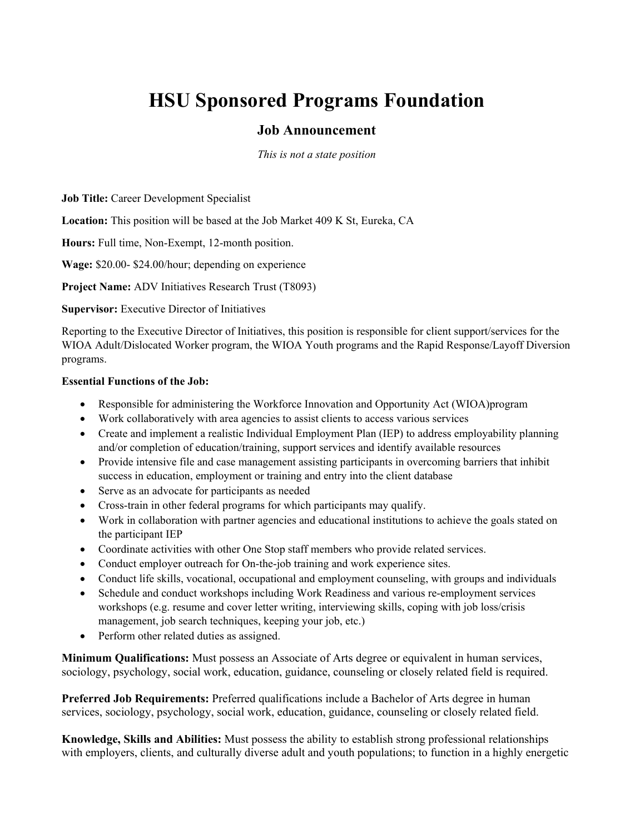## **HSU Sponsored Programs Foundation**

## **Job Announcement**

*This is not a state position*

**Job Title:** Career Development Specialist

**Location:** This position will be based at the Job Market 409 K St, Eureka, CA

**Hours:** Full time, Non-Exempt, 12-month position.

**Wage:** \$20.00- \$24.00/hour; depending on experience

**Project Name:** ADV Initiatives Research Trust (T8093)

## **Supervisor:** Executive Director of Initiatives

Reporting to the Executive Director of Initiatives, this position is responsible for client support/services for the WIOA Adult/Dislocated Worker program, the WIOA Youth programs and the Rapid Response/Layoff Diversion programs.

## **Essential Functions of the Job:**

- Responsible for administering the Workforce Innovation and Opportunity Act (WIOA)program
- Work collaboratively with area agencies to assist clients to access various services
- Create and implement a realistic Individual Employment Plan (IEP) to address employability planning and/or completion of education/training, support services and identify available resources
- Provide intensive file and case management assisting participants in overcoming barriers that inhibit success in education, employment or training and entry into the client database
- Serve as an advocate for participants as needed
- Cross-train in other federal programs for which participants may qualify.
- Work in collaboration with partner agencies and educational institutions to achieve the goals stated on the participant IEP
- Coordinate activities with other One Stop staff members who provide related services.
- Conduct employer outreach for On-the-job training and work experience sites.
- Conduct life skills, vocational, occupational and employment counseling, with groups and individuals
- Schedule and conduct workshops including Work Readiness and various re-employment services workshops (e.g. resume and cover letter writing, interviewing skills, coping with job loss/crisis management, job search techniques, keeping your job, etc.)
- Perform other related duties as assigned.

**Minimum Qualifications:** Must possess an Associate of Arts degree or equivalent in human services, sociology, psychology, social work, education, guidance, counseling or closely related field is required.

**Preferred Job Requirements:** Preferred qualifications include a Bachelor of Arts degree in human services, sociology, psychology, social work, education, guidance, counseling or closely related field.

**Knowledge, Skills and Abilities:** Must possess the ability to establish strong professional relationships with employers, clients, and culturally diverse adult and youth populations; to function in a highly energetic